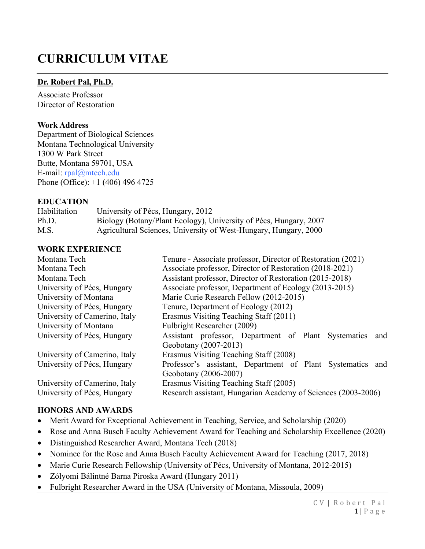# **CURRICULUM VITAE**

### **Dr. Robert Pal, Ph.D.**

Associate Professor Director of Restoration

#### **Work Address**

Department of Biological Sciences Montana Technological University 1300 W Park Street Butte, Montana 59701, USA E-mail: rpal@mtech.edu Phone (Office): +1 (406) 496 4725

#### **EDUCATION**

| Habilitation | University of Pécs, Hungary, 2012                                 |
|--------------|-------------------------------------------------------------------|
| Ph.D.        | Biology (Botany/Plant Ecology), University of Pécs, Hungary, 2007 |
| M.S.         | Agricultural Sciences, University of West-Hungary, Hungary, 2000  |

#### **WORK EXPERIENCE**

| Tenure - Associate professor, Director of Restoration (2021)  |
|---------------------------------------------------------------|
| Associate professor, Director of Restoration (2018-2021)      |
| Assistant professor, Director of Restoration (2015-2018)      |
| Associate professor, Department of Ecology (2013-2015)        |
| Marie Curie Research Fellow (2012-2015)                       |
| Tenure, Department of Ecology (2012)                          |
| Erasmus Visiting Teaching Staff (2011)                        |
| <b>Fulbright Researcher (2009)</b>                            |
| Assistant professor, Department of Plant Systematics<br>and   |
| Geobotany (2007-2013)                                         |
| Erasmus Visiting Teaching Staff (2008)                        |
| Professor's assistant, Department of Plant Systematics and    |
| Geobotany (2006-2007)                                         |
| Erasmus Visiting Teaching Staff (2005)                        |
| Research assistant, Hungarian Academy of Sciences (2003-2006) |
|                                                               |

#### **HONORS AND AWARDS**

- Merit Award for Exceptional Achievement in Teaching, Service, and Scholarship (2020)
- Rose and Anna Busch Faculty Achievement Award for Teaching and Scholarship Excellence (2020)
- Distinguished Researcher Award, Montana Tech (2018)
- Nominee for the Rose and Anna Busch Faculty Achievement Award for Teaching (2017, 2018)
- Marie Curie Research Fellowship (University of Pécs, University of Montana, 2012-2015)
- Zólyomi Bálintné Barna Piroska Award (Hungary 2011)
- Fulbright Researcher Award in the USA (University of Montana, Missoula, 2009)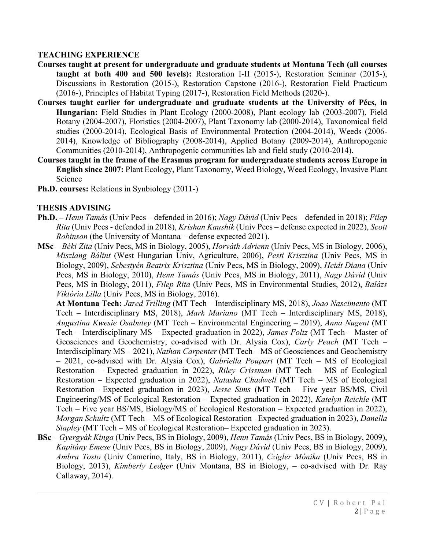## **TEACHING EXPERIENCE**

- **Courses taught at present for undergraduate and graduate students at Montana Tech (all courses taught at both 400 and 500 levels):** Restoration I-II (2015-), Restoration Seminar (2015-), Discussions in Restoration (2015-), Restoration Capstone (2016-), Restoration Field Practicum (2016-), Principles of Habitat Typing (2017-), Restoration Field Methods (2020-).
- **Courses taught earlier for undergraduate and graduate students at the University of Pécs, in Hungarian:** Field Studies in Plant Ecology (2000-2008), Plant ecology lab (2003-2007), Field Botany (2004-2007), Floristics (2004-2007), Plant Taxonomy lab (2000-2014), Taxonomical field studies (2000-2014), Ecological Basis of Environmental Protection (2004-2014), Weeds (2006- 2014), Knowledge of Bibliography (2008-2014), Applied Botany (2009-2014), Anthropogenic Communities (2010-2014), Anthropogenic communities lab and field study (2010-2014).
- **Courses taught in the frame of the Erasmus program for undergraduate students across Europe in English since 2007:** Plant Ecology, Plant Taxonomy, Weed Biology, Weed Ecology, Invasive Plant Science
- **Ph.D. courses:** Relations in Synbiology (2011-)

#### **THESIS ADVISING**

- **Ph.D. –** *Henn Tamás* (Univ Pecs defended in 2016); *Nagy Dávid* (Univ Pecs defended in 2018); *Filep Rita* (Univ Pecs - defended in 2018), *Krishan Kaushik* (Univ Pecs – defense expected in 2022), *Scott Robinson* (the University of Montana – defense expected 2021).
- **MSc** *Béki Zita* (Univ Pecs, MS in Biology, 2005), *Horváth Adrienn* (Univ Pecs, MS in Biology, 2006), *Miszlang Bálint* (West Hungarian Univ, Agriculture, 2006), *Pesti Krisztina* (Univ Pecs, MS in Biology, 2009), *Sebestyén Beatrix Krisztina* (Univ Pecs, MS in Biology, 2009), *Heidt Diana* (Univ Pecs, MS in Biology, 2010), *Henn Tamás* (Univ Pecs, MS in Biology, 2011), *Nagy Dávid* (Univ Pecs, MS in Biology, 2011), *Filep Rita* (Univ Pecs, MS in Environmental Studies, 2012), *Balázs Viktória Lilla* (Univ Pecs, MS in Biology, 2016).

**At Montana Tech:** *Jared Trilling* (MT Tech – Interdisciplinary MS, 2018), *Joao Nascimento* (MT Tech – Interdisciplinary MS, 2018), *Mark Mariano* (MT Tech – Interdisciplinary MS, 2018), *Augustina Kwesie Osabutey* (MT Tech – Environmental Engineering – 2019), *Anna Nugent* (MT Tech – Interdisciplinary MS – Expected graduation in 2022), *James Foltz* (MT Tech – Master of Geosciences and Geochemistry, co-advised with Dr. Alysia Cox), *Carly Peach* (MT Tech – Interdisciplinary MS – 2021), *Nathan Carpenter* (MT Tech – MS of Geosciences and Geochemistry – 2021, co-advised with Dr. Alysia Cox), *Gabriella Poupart* (MT Tech – MS of Ecological Restoration – Expected graduation in 2022), *Riley Crissman* (MT Tech – MS of Ecological Restoration – Expected graduation in 2022), *Natasha Chadwell* (MT Tech – MS of Ecological Restoration– Expected graduation in 2023), *Jesse Sims* (MT Tech – Five year BS/MS, Civil Engineering/MS of Ecological Restoration – Expected graduation in 2022), *Katelyn Reichle* (MT Tech – Five year BS/MS, Biology/MS of Ecological Restoration – Expected graduation in 2022), *Morgan Schultz* (MT Tech – MS of Ecological Restoration– Expected graduation in 2023), *Danella Stapley* (MT Tech – MS of Ecological Restoration– Expected graduation in 2023).

**BSc** – *Gyergyák Kinga* (Univ Pecs, BS in Biology, 2009), *Henn Tamás* (Univ Pecs, BS in Biology, 2009), *Kapitány Emese* (Univ Pecs, BS in Biology, 2009), *Nagy Dávid* (Univ Pecs, BS in Biology, 2009), *Ambra Tosto* (Univ Camerino, Italy, BS in Biology, 2011), *Czigler Mónika* (Univ Pecs, BS in Biology, 2013), *Kimberly Ledger* (Univ Montana, BS in Biology, – co-advised with Dr. Ray Callaway, 2014).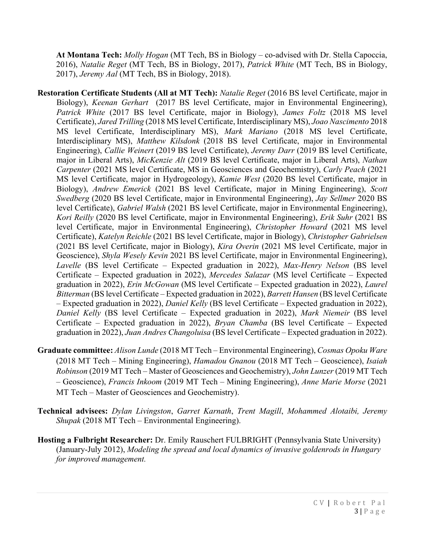**At Montana Tech:** *Molly Hogan* (MT Tech, BS in Biology – co-advised with Dr. Stella Capoccia, 2016), *Natalie Reget* (MT Tech, BS in Biology, 2017), *Patrick White* (MT Tech, BS in Biology, 2017), *Jeremy Aal* (MT Tech, BS in Biology, 2018).

- **Restoration Certificate Students (All at MT Tech):** *Natalie Reget* (2016 BS level Certificate, major in Biology), *Keenan Gerhart* (2017 BS level Certificate, major in Environmental Engineering), *Patrick White* (2017 BS level Certificate, major in Biology), *James Foltz* (2018 MS level Certificate), *Jared Trilling* (2018 MS level Certificate, Interdisciplinary MS), *Joao Nascimento* 2018 MS level Certificate, Interdisciplinary MS), *Mark Mariano* (2018 MS level Certificate, Interdisciplinary MS), *Matthew Kilsdonk* (2018 BS level Certificate, major in Environmental Engineering), *Callie Weinert* (2019 BS level Certificate), *Jeremy Darr* (2019 BS level Certificate, major in Liberal Arts), *MicKenzie Alt* (2019 BS level Certificate, major in Liberal Arts), *Nathan Carpenter* (2021 MS level Certificate, MS in Geosciences and Geochemistry), *Carly Peach* (2021 MS level Certificate, major in Hydrogeology), *Kamie West* (2020 BS level Certificate, major in Biology), *Andrew Emerick* (2021 BS level Certificate, major in Mining Engineering), *Scott Swedberg* (2020 BS level Certificate, major in Environmental Engineering), *Jay Sellmer* 2020 BS level Certificate), *Gabriel Walsh* (2021 BS level Certificate, major in Environmental Engineering), *Kori Reilly* (2020 BS level Certificate, major in Environmental Engineering), *Erik Suhr* (2021 BS level Certificate, major in Environmental Engineering), *Christopher Howard* (2021 MS level Certificate), *Katelyn Reichle* (2021 BS level Certificate, major in Biology), *Christopher Gabrielsen* (2021 BS level Certificate, major in Biology), *Kira Overin* (2021 MS level Certificate, major in Geoscience), *Shyla Wesely Kevin* 2021 BS level Certificate, major in Environmental Engineering), *Lavelle* (BS level Certificate – Expected graduation in 2022), *Max-Henry Nelson* (BS level Certificate – Expected graduation in 2022), *Mercedes Salazar* (MS level Certificate – Expected graduation in 2022), *Erin McGowan* (MS level Certificate – Expected graduation in 2022), *Laurel Bitterman* (BS level Certificate – Expected graduation in 2022), *Barrett Hansen* (BS level Certificate – Expected graduation in 2022), *Daniel Kelly* (BS level Certificate – Expected graduation in 2022), *Daniel Kelly* (BS level Certificate – Expected graduation in 2022), *Mark Niemeir* (BS level Certificate – Expected graduation in 2022), *Bryan Chamba* (BS level Certificate – Expected graduation in 2022), *Juan Andres Changoluisa* (BS level Certificate – Expected graduation in 2022).
- **Graduate committee:** *Alison Lunde* (2018 MT Tech Environmental Engineering), *Cosmas Opoku Ware* (2018 MT Tech – Mining Engineering), *Hamadou Gnanou* (2018 MT Tech – Geoscience), *Isaiah Robinson* (2019 MT Tech – Master of Geosciences and Geochemistry), *John Lunzer* (2019 MT Tech – Geoscience), *Francis Inkoom* (2019 MT Tech – Mining Engineering), *Anne Marie Morse* (2021 MT Tech – Master of Geosciences and Geochemistry).
- **Technical advisees:** *Dylan Livingston*, *Garret Karnath*, *Trent Magill*, *Mohammed Alotaibi, Jeremy Shupak* (2018 MT Tech – Environmental Engineering).
- **Hosting a Fulbright Researcher:** Dr. Emily Rauschert FULBRIGHT (Pennsylvania State University) (January-July 2012), *Modeling the spread and local dynamics of invasive goldenrods in Hungary for improved management.*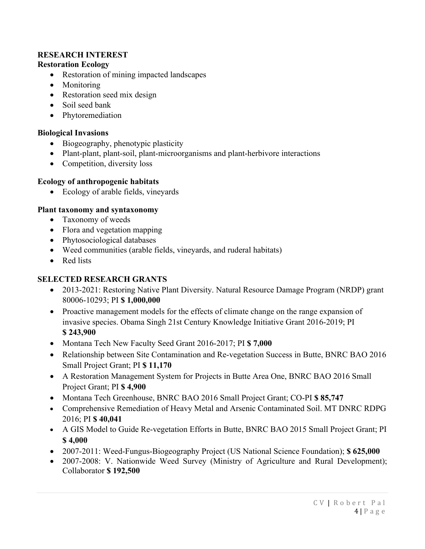## **RESEARCH INTEREST**

## **Restoration Ecology**

- Restoration of mining impacted landscapes
- Monitoring
- Restoration seed mix design
- Soil seed bank
- Phytoremediation

## **Biological Invasions**

- Biogeography, phenotypic plasticity
- Plant-plant, plant-soil, plant-microorganisms and plant-herbivore interactions
- Competition, diversity loss

## **Ecology of anthropogenic habitats**

• Ecology of arable fields, vineyards

## **Plant taxonomy and syntaxonomy**

- Taxonomy of weeds
- Flora and vegetation mapping
- Phytosociological databases
- Weed communities (arable fields, vineyards, and ruderal habitats)
- Red lists

# **SELECTED RESEARCH GRANTS**

- 2013-2021: Restoring Native Plant Diversity. Natural Resource Damage Program (NRDP) grant 80006-10293; PI **\$ 1,000,000**
- Proactive management models for the effects of climate change on the range expansion of invasive species. Obama Singh 21st Century Knowledge Initiative Grant 2016-2019; PI **\$ 243,900**
- Montana Tech New Faculty Seed Grant 2016-2017; PI **\$ 7,000**
- Relationship between Site Contamination and Re-vegetation Success in Butte, BNRC BAO 2016 Small Project Grant; PI **\$ 11,170**
- A Restoration Management System for Projects in Butte Area One, BNRC BAO 2016 Small Project Grant; PI **\$ 4,900**
- Montana Tech Greenhouse, BNRC BAO 2016 Small Project Grant; CO-PI **\$ 85,747**
- Comprehensive Remediation of Heavy Metal and Arsenic Contaminated Soil. MT DNRC RDPG 2016; PI **\$ 40,041**
- A GIS Model to Guide Re-vegetation Efforts in Butte, BNRC BAO 2015 Small Project Grant; PI **\$ 4,000**
- 2007-2011: Weed-Fungus-Biogeography Project (US National Science Foundation); **\$ 625,000**
- 2007-2008: V. Nationwide Weed Survey (Ministry of Agriculture and Rural Development); Collaborator **\$ 192,500**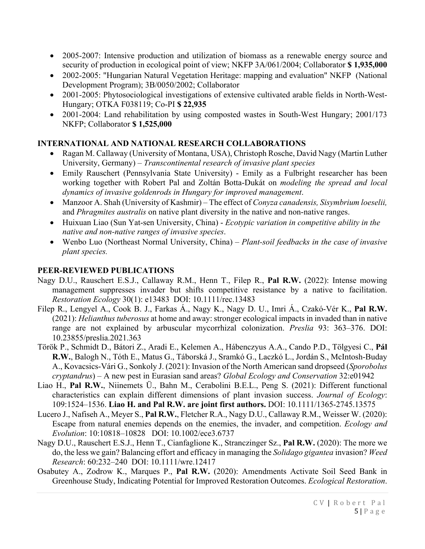- 2005-2007: Intensive production and utilization of biomass as a renewable energy source and security of production in ecological point of view; NKFP 3A/061/2004; Collaborator **\$ 1,935,000**
- 2002-2005: "Hungarian Natural Vegetation Heritage: mapping and evaluation" NKFP (National Development Program); 3B/0050/2002; Collaborator
- 2001-2005: Phytosociological investigations of extensive cultivated arable fields in North-West-Hungary; OTKA F038119; Co-PI **\$ 22,935**
- 2001-2004: Land rehabilitation by using composted wastes in South-West Hungary; 2001/173 NKFP; Collaborator **\$ 1,525,000**

# **INTERNATIONAL AND NATIONAL RESEARCH COLLABORATIONS**

- Ragan M. Callaway (University of Montana, USA), Christoph Rosche, David Nagy (Martin Luther University, Germany) – *Transcontinental research of invasive plant species*
- Emily Rauschert (Pennsylvania State University) Emily as a Fulbright researcher has been working together with Robert Pal and Zoltán Botta-Dukát on *modeling the spread and local dynamics of invasive goldenrods in Hungary for improved management*.
- Manzoor A. Shah (University of Kashmir) The effect of *Conyza canadensis, Sisymbrium loeselii,* and *Phragmites australis* on native plant diversity in the native and non-native ranges.
- Huixuan Liao (Sun Yat-sen University, China) *Ecotypic variation in competitive ability in the native and non-native ranges of invasive species*.
- Wenbo Luo (Northeast Normal University, China) *Plant-soil feedbacks in the case of invasive plant species.*

# **PEER-REVIEWED PUBLICATIONS**

- Nagy D.U., Rauschert E.S.J., Callaway R.M., Henn T., Filep R., **Pal R.W.** (2022): Intense mowing management suppresses invader but shifts competitive resistance by a native to facilitation. *Restoration Ecology* 30(1): e13483 DOI: 10.1111/rec.13483
- Filep R., Lengyel A., Cook B. J., Farkas Á., Nagy K., Nagy D. U., Imri Á., Czakó-Vér K., **Pal R.W.** (2021): *Helianthus tuberosus* at home and away: stronger ecological impacts in invaded than in native range are not explained by arbuscular mycorrhizal colonization. *Preslia* 93: 363–376. DOI: 10.23855/preslia.2021.363
- Török P., Schmidt D., Bátori Z., Aradi E., Kelemen A., Hábenczyus A.A., Cando P.D., Tölgyesi C., **Pál R.W.**, Balogh N., Tóth E., Matus G., Táborská J., Sramkó G., Laczkó L., Jordán S., McIntosh-Buday A., Kovacsics-Vári G., Sonkoly J. (2021): Invasion of the North American sand dropseed (*Sporobolus cryptandrus*) – A new pest in Eurasian sand areas? *Global Ecology and Conservation* 32:e01942
- Liao H., **Pal R.W.**, Niinemets Ü., Bahn M., Cerabolini B.E.L., Peng S. (2021): Different functional characteristics can explain different dimensions of plant invasion success. *Journal of Ecology*: 109:1524–1536. **Liao H. and Pal R.W. are joint first authors.** DOI: 10.1111/1365-2745.13575
- Lucero J., Nafiseh A., Meyer S., **Pal R.W.**, Fletcher R.A., Nagy D.U., Callaway R.M., Weisser W. (2020): Escape from natural enemies depends on the enemies, the invader, and competition. *Ecology and Evolution*: 10:10818–10828 DOI: 10.1002/ece3.6737
- Nagy D.U., Rauschert E.S.J., Henn T., Cianfaglione K., Stranczinger Sz., **Pal R.W.** (2020): The more we do, the less we gain? Balancing effort and efficacy in managing the *Solidago gigantea* invasion? *Weed Research*: 60:232–240 DOI: 10.1111/wre.12417
- Osabutey A., Zodrow K., Marques P., **Pal R.W.** (2020): Amendments Activate Soil Seed Bank in Greenhouse Study, Indicating Potential for Improved Restoration Outcomes. *Ecological Restoration*.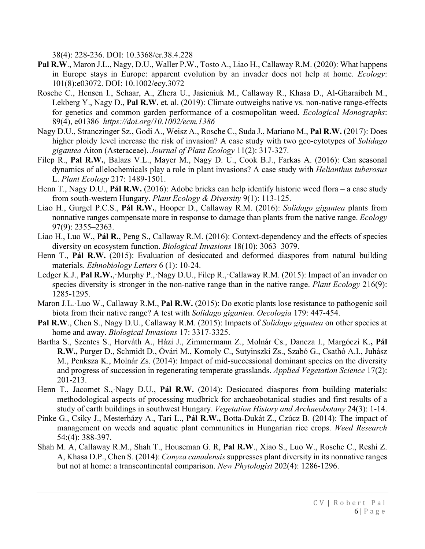38(4): 228-236. DOI: 10.3368/er.38.4.228

- **Pal R.W**., Maron J.L., Nagy, D.U., Waller P.W., Tosto A., Liao H., Callaway R.M. (2020): What happens in Europe stays in Europe: apparent evolution by an invader does not help at home. *Ecology*: 101(8):e03072. DOI: 10.1002/ecy.3072
- Rosche C., Hensen I., Schaar, A., Zhera U., Jasieniuk M., Callaway R., Khasa D., Al-Gharaibeh M., Lekberg Y., Nagy D., **Pal R.W.** et. al. (2019): Climate outweighs native vs. non-native range-effects for genetics and common garden performance of a cosmopolitan weed. *Ecological Monographs*: 89(4), e01386 *https://doi.org/10.1002/ecm.1386*
- Nagy D.U., Stranczinger Sz., Godi A., Weisz A., Rosche C., Suda J., Mariano M., **Pal R.W.** (2017): Does higher ploidy level increase the risk of invasion? A case study with two geo-cytotypes of *Solidago gigantea* Aiton (Asteraceae). *Journal of Plant Ecology* 11(2): 317-327.
- Filep R., **Pal R.W.**, Balazs V.L., Mayer M., Nagy D. U., Cook B.J., Farkas A. (2016): Can seasonal dynamics of allelochemicals play a role in plant invasions? A case study with *Helianthus tuberosus* L. *Plant Ecology* 217: 1489-1501.
- Henn T., Nagy D.U., **Pál R.W.** (2016): Adobe bricks can help identify historic weed flora a case study from south-western Hungary. *Plant Ecology & Diversity* 9(1): 113-125.
- Liao H., Gurgel P.C.S., **Pál R.W.**, Hooper D., Callaway R.M. (2016): *Solidago gigantea* plants from nonnative ranges compensate more in response to damage than plants from the native range. *Ecology* 97(9): 2355–2363.
- Liao H., Luo W., **Pál R.**, Peng S., Callaway R.M. (2016): Context-dependency and the effects of species diversity on ecosystem function. *Biological Invasions* 18(10): 3063–3079.
- Henn T., **Pál R.W.** (2015): Evaluation of desiccated and deformed diaspores from natural building materials. *Ethnobiology Letters* 6 (1): 10-24.
- Ledger K.J., **Pal R.W.**,·Murphy P.,·Nagy D.U., Filep R.,·Callaway R.M. (2015): Impact of an invader on species diversity is stronger in the non-native range than in the native range. *Plant Ecology* 216(9): 1285-1295.
- Maron J.L.·Luo W., Callaway R.M., **Pal R.W.** (2015): Do exotic plants lose resistance to pathogenic soil biota from their native range? A test with *Solidago gigantea*. *Oecologia* 179: 447-454.
- **Pal R.W**., Chen S., Nagy D.U., Callaway R.M. (2015): Impacts of *Solidago gigantea* on other species at home and away. *Biological Invasions* 17: 3317-3325.
- Bartha S., Szentes S., Horváth A., Házi J., Zimmermann Z., Molnár Cs., Dancza I., Margóczi K.**, Pál R.W.,** Purger D., Schmidt D., Óvári M., Komoly C., Sutyinszki Zs., Szabó G., Csathó A.I., Juhász M., Penksza K., Molnár Zs. (2014): Impact of mid-successional dominant species on the diversity and progress of succession in regenerating temperate grasslands. *Applied Vegetation Science* 17(2): 201-213.
- Henn T., Jacomet S.,·Nagy D.U., **Pál R.W.** (2014): Desiccated diaspores from building materials: methodological aspects of processing mudbrick for archaeobotanical studies and first results of a study of earth buildings in southwest Hungary. *Vegetation History and Archaeobotany* 24(3): 1-14.
- Pinke G., Csiky J., Mesterházy A., Tari L., **Pál R.W.,** Botta-Dukát Z., Czúcz B. (2014): The impact of management on weeds and aquatic plant communities in Hungarian rice crops. *Weed Research* 54:(4): 388-397.
- Shah M. A, Callaway R.M., Shah T., Houseman G. R, **Pal R.W**., Xiao S., Luo W., Rosche C., Reshi Z. A, Khasa D.P., Chen S. (2014): *Conyza canadensis* suppresses plant diversity in its nonnative ranges but not at home: a transcontinental comparison. *New Phytologist* 202(4): 1286-1296.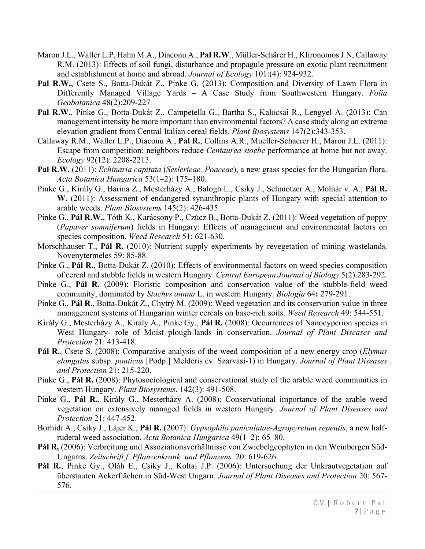- Maron J.L., Waller L.P, Hahn M.A., Diaconu A., **Pal R.W**., Müller-Schärer H., Klironomos J.N, Callaway R.M. (2013): Effects of soil fungi, disturbance and propagule pressure on exotic plant recruitment and establishment at home and abroad. *Journal of Ecology* 101:(4): 924-932.
- **Pal R.W.**, Csete S., Botta-Dukát Z., Pinke G. (2013): Composition and Diversity of Lawn Flora in Differently Managed Village Yards – A Case Study from Southwestern Hungary. *Folia Geobotanica* 48(2):209-227*.*
- **Pal R.W.**, Pinke G., Botta-Dukát Z., Campetella G., Bartha S., Kalocsai R., Lengyel A. (2013): Can management intensity be more important than environmental factors? A case study along an extreme elevation gradient from Central Italian cereal fields. *Plant Biosystems* 147(2):343-353.
- Callaway R.M., Waller L.P., Diaconu A., **Pal R.**, Collins A.R., Mueller-Schaerer H., Maron J.L. (2011): Escape from competition: neighbors reduce *Centaurea stoebe* performance at home but not away. *Ecology* 92(12): 2208-2213.
- **Pal R.W.** (2011): *Echinaria capitata* (*Seslerieae, Poaceae*), a new grass species for the Hungarian flora. *Acta Botanica Hungarica* 53(1–2): 175–180.
- Pinke G., Király G., Barina Z., Mesterházy A., Balogh L., Csiky J., Schmotzer A., Molnár v. A., **Pál R. W.** (2011): Assessment of endangered synanthropic plants of Hungary with special attention to arable weeds. *Plant Biosystems* 145(2): 426-435.
- Pinke G., **Pál R.W.**, Tóth K., Karácsony P., Czúcz B., Botta-Dukát Z. (2011): Weed vegetation of poppy (*Papaver somniferum*) fields in Hungary: Effects of management and environmental factors on species composition. *Weed Research* 51: 621-630.
- Morschhauser T., **Pál R.** (2010): Nutrient supply experiments by revegetation of mining wastelands. Novenytermeles 59: 85-88.
- Pinke G., **Pál R.**, Botta-Dukát Z. (2010): Effects of environmental factors on weed species composition of cereal and stubble fields in western Hungary. *Central European Journal of Biology* 5(2):283-292.
- Pinke G., **Pál R.** (2009): Floristic composition and conservation value of the stubble-field weed community, dominated by *Stachys annua* L. in western Hungary. *Biologia* 64**:** 279-291.
- Pinke G., **Pál R.**, Botta-Dukát Z., Chytrý M. (2009): Weed vegetation and its conservation value in three management systems of Hungarian winter cereals on base-rich soils. *Weed Research* 49: 544-551.
- Király G., Mesterházy A., Király A., Pinke Gy., **Pál R.** (2008): Occurrences of Nanocyperion species in West Hungary- role of Moist plough-lands in conservation. *Journal of Plant Diseases and Protection* 21: 413-418.
- **Pál R.**, Csete S. (2008): Comparative analysis of the weed composition of a new energy crop (*Elymus elongatus* subsp. *ponticus* [Podp.] Melderis cv. Szarvasi-1) in Hungary. *Journal of Plant Diseases and Protection* 21: 215-220.
- Pinke G., **Pál R.** (2008): Phytosociological and conservational study of the arable weed communities in western Hungary. *Plant Biosystems*. 142(3): 491-508.
- Pinke G., **Pál R.**, Király G., Mesterházy A. (2008): Conservational importance of the arable weed vegetation on extensively managed fields in western Hungary. *Journal of Plant Diseases and Protection* 21: 447-452.
- Borhidi A., Csiky J., Lájer K., **Pál R.** (2007): *Gypsophilo paniculatae-Agropyretum repentis*, a new halfruderal weed association. *Acta Botanica Hungarica* 49(1–2): 65–80.
- **Pál R.** (2006): Verbreitung und Assoziationsverhältnisse von Zwiebelgeophyten in den Weinbergen Süd-Ungarns. *Zeitschrift f. Pflanzenkrank. und Pflanzens.* 20: 619-626.
- Pál R., Pinke Gy., Oláh E., Csiky J., Koltai J.P. (2006): Untersuchung der Unkrautvegetation auf überstauten Ackerflächen in Süd-West Ungarn. *Journal of Plant Diseases and Protection* 20: 567- 576.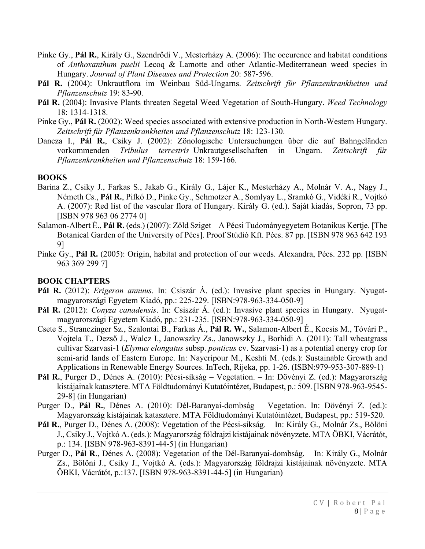- Pinke Gy., **Pál R.**, Király G., Szendrődi V., Mesterházy A. (2006): The occurence and habitat conditions of *Anthoxanthum puelii* Lecoq & Lamotte and other Atlantic-Mediterranean weed species in Hungary. *Journal of Plant Diseases and Protection* 20: 587-596.
- **Pál R.** (2004): Unkrautflora im Weinbau Süd-Ungarns. *Zeitschrift für Pflanzenkrankheiten und Pflanzenschutz* 19: 83-90.
- **Pál R.** (2004): Invasive Plants threaten Segetal Weed Vegetation of South-Hungary. *Weed Technology* 18: 1314-1318.
- Pinke Gy., **Pál R.** (2002): Weed species associated with extensive production in North-Western Hungary. *Zeitschrift für Pflanzenkrankheiten und Pflanzenschutz* 18: 123-130.
- Dancza I., **Pál R.**, Csiky J. (2002): Zönologische Untersuchungen über die auf Bahngeländen vorkommenden *Tribulus terrestris*–Unkrautgesellschaften in Ungarn. *Zeitschrift für Pflanzenkrankheiten und Pflanzenschutz* 18: 159-166.

#### **BOOKS**

- Barina Z., Csiky J., Farkas S., Jakab G., Király G., Lájer K., Mesterházy A., Molnár V. A., Nagy J., Németh Cs., **Pál R.**, Pifkó D., Pinke Gy., Schmotzer A., Somlyay L., Sramkó G., Vidéki R., Vojtkó A. (2007): Red list of the vascular flora of Hungary. Király G. (ed.). Saját kiadás, Sopron, 73 pp. [ISBN 978 963 06 2774 0]
- Salamon-Albert É., **Pál R.** (eds.) (2007): Zöld Sziget A Pécsi Tudományegyetem Botanikus Kertje. [The Botanical Garden of the University of Pécs]. Proof Stúdió Kft. Pécs. 87 pp. [ISBN 978 963 642 193 9]
- Pinke Gy., **Pál R.** (2005): Origin, habitat and protection of our weeds. Alexandra, Pécs. 232 pp. [ISBN 963 369 299 7]

#### **BOOK CHAPTERS**

- **Pál R.** (2012): *Erigeron annuus*. In: Csiszár Á. (ed.): Invasive plant species in Hungary. Nyugatmagyarországi Egyetem Kiadó, pp.: 225-229. [ISBN:978-963-334-050-9]
- **Pál R.** (2012): *Conyza canadensis*. In: Csiszár Á. (ed.): Invasive plant species in Hungary. Nyugatmagyarországi Egyetem Kiadó, pp.: 231-235. [ISBN:978-963-334-050-9]
- Csete S., Stranczinger Sz., Szalontai B., Farkas Á., **Pál R. W.**, Salamon-Albert É., Kocsis M., Tóvári P., Vojtela T., Dezső J., Walcz I., Janowszky Zs., Janowszky J., Borhidi A. (2011): Tall wheatgrass cultivar Szarvasi-1 (*Elymus elongatus* subsp. *ponticus* cv. Szarvasi-1) as a potential energy crop for semi-arid lands of Eastern Europe. In: Nayeripour M., Keshti M. (eds.): Sustainable Growth and Applications in Renewable Energy Sources. InTech, Rijeka, pp. 1-26. (ISBN:979-953-307-889-1)
- **Pál R.**, Purger D., Dénes A. (2010): Pécsi-síkság Vegetation. In: Dövényi Z. (ed.): Magyarország kistájainak katasztere. MTA Földtudományi Kutatóintézet, Budapest, p.: 509. [ISBN 978-963-9545- 29-8] (in Hungarian)
- Purger D., **Pál R.**, Dénes A. (2010): Dél-Baranyai-dombság Vegetation. In: Dövényi Z. (ed.): Magyarország kistájainak katasztere. MTA Földtudományi Kutatóintézet, Budapest, pp.: 519-520.
- **Pál R.**, Purger D., Dénes A. (2008): Vegetation of the Pécsi-síkság. In: Király G., Molnár Zs., Bölöni J., Csiky J., Vojtkó A. (eds.): Magyarország földrajzi kistájainak növényzete. MTA ÖBKI, Vácrátót, p.: 134. [ISBN 978-963-8391-44-5] (in Hungarian)
- Purger D., **Pál R**., Dénes A. (2008): Vegetation of the Dél-Baranyai-dombság. In: Király G., Molnár Zs., Bölöni J., Csiky J., Vojtkó A. (eds.): Magyarország földrajzi kistájainak növényzete. MTA ÖBKI, Vácrátót, p.:137. [ISBN 978-963-8391-44-5] (in Hungarian)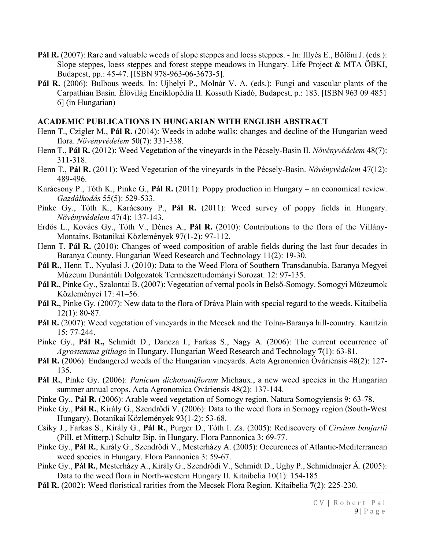- **Pál R.** (2007): Rare and valuable weeds of slope steppes and loess steppes. In: Illyés E., Bölöni J. (eds.): Slope steppes, loess steppes and forest steppe meadows in Hungary. Life Project & MTA ÖBKI, Budapest, pp.: 45-47. [ISBN 978-963-06-3673-5].
- **Pál R.** (2006): Bulbous weeds. In: Ujhelyi P., Molnár V. A. (eds.): Fungi and vascular plants of the Carpathian Basin. Élővilág Enciklopédia II. Kossuth Kiadó, Budapest, p.: 183. [ISBN 963 09 4851 6] (in Hungarian)

#### **ACADEMIC PUBLICATIONS IN HUNGARIAN WITH ENGLISH ABSTRACT**

- Henn T., Czigler M., **Pál R.** (2014): Weeds in adobe walls: changes and decline of the Hungarian weed flora. *Növényvédelem* 50(7): 331-338.
- Henn T., **Pál R.** (2012): Weed Vegetation of the vineyards in the Pécsely-Basin II. *Növényvédelem* 48(7): 311-318.
- Henn T., **Pál R.** (2011): Weed Vegetation of the vineyards in the Pécsely-Basin. *Növényvédelem* 47(12): 489-496.
- Karácsony P., Tóth K., Pinke G., **Pál R.** (2011): Poppy production in Hungary an economical review. *Gazdálkodás* 55(5): 529-533.
- Pinke Gy., Tóth K., Karácsony P., **Pál R.** (2011): Weed survey of poppy fields in Hungary. *Növényvédelem* 47(4): 137-143.
- Erdős L., Kovács Gy., Tóth V., Dénes A., **Pál R.** (2010): Contributions to the flora of the Villány-Montains. Botanikai Közlemények 97(1-2): 97-112.
- Henn T. **Pál R.** (2010): Changes of weed composition of arable fields during the last four decades in Baranya County. Hungarian Weed Research and Technology 11(2): 19-30.
- **Pál R.**, Henn T., Nyulasi J. (2010): Data to the Weed Flora of Southern Transdanubia. Baranya Megyei Múzeum Dunántúli Dolgozatok Természettudományi Sorozat. 12: 97-135.
- **Pál R.**, Pinke Gy., Szalontai B. (2007): Vegetation of vernal pools in Belső-Somogy. Somogyi Múzeumok Közleményei 17: 41–56.
- Pál R., Pinke Gy. (2007): New data to the flora of Dráva Plain with special regard to the weeds. Kitaibelia 12(1): 80-87.
- **Pál R.** (2007): Weed vegetation of vineyards in the Mecsek and the Tolna-Baranya hill-country. Kanitzia 15: 77-244.
- Pinke Gy., **Pál R.,** Schmidt D., Dancza I., Farkas S., Nagy A. (2006): The current occurrence of *Agrostemma githago* in Hungary. Hungarian Weed Research and Technology **7**(1): 63-81.
- **Pál R.** (2006): Endangered weeds of the Hungarian vineyards. Acta Agronomica Óváriensis 48(2): 127- 135.
- **Pál R.**, Pinke Gy. (2006): *Panicum dichotomiflorum* Michaux., a new weed species in the Hungarian summer annual crops. Acta Agronomica Óváriensis 48(2): 137-144.
- Pinke Gy., **Pál R.** (2006): Arable weed vegetation of Somogy region. Natura Somogyiensis 9: 63-78.
- Pinke Gy., **Pál R.**, Király G., Szendrődi V. (2006): Data to the weed flora in Somogy region (South-West Hungary). Botanikai Közlemények 93(1-2): 53-68.
- Csiky J., Farkas S., Király G., **Pál R.**, Purger D., Tóth I. Zs. (2005): Rediscovery of *Cirsium boujartii* (Pill. et Mitterp.) Schultz Bip. in Hungary. Flora Pannonica 3: 69-77.

Pinke Gy., **Pál R.**, Király G., Szendrődi V., Mesterházy A. (2005): Occurences of Atlantic-Mediterranean weed species in Hungary. Flora Pannonica 3: 59-67.

- Pinke Gy., **Pál R.**, Mesterházy A., Király G., Szendrődi V., Schmidt D., Ughy P., Schmidmajer Á. (2005): Data to the weed flora in North-western Hungary II. Kitaibelia 10(1): 154-185.
- **Pál R.** (2002): Weed floristical rarities from the Mecsek Flora Region. Kitaibelia **7**(2): 225-230.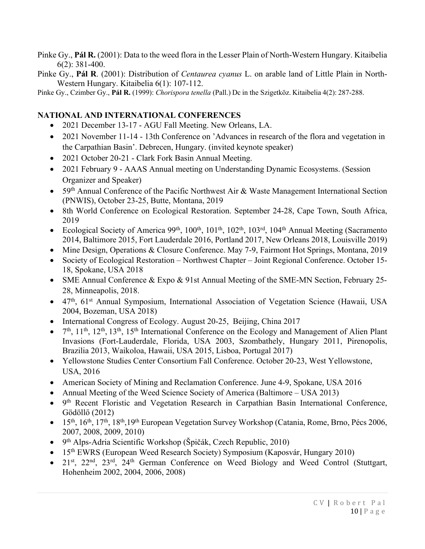Pinke Gy., **Pál R.** (2001): Data to the weed flora in the Lesser Plain of North-Western Hungary. Kitaibelia 6(2): 381-400.

Pinke Gy., **Pál R**. (2001): Distribution of *Centaurea cyanus* L. on arable land of Little Plain in North-Western Hungary. Kitaibelia 6(1): 107-112.

Pinke Gy., Czimber Gy., **Pál R.** (1999): *Chorispora tenella* (Pall.) Dc in the Szigetköz. Kitaibelia 4(2): 287-288.

## **NATIONAL AND INTERNATIONAL CONFERENCES**

- 2021 December 13-17 AGU Fall Meeting. New Orleans, LA.
- 2021 November 11-14 13th Conference on 'Advances in research of the flora and vegetation in the Carpathian Basin'. Debrecen, Hungary. (invited keynote speaker)
- 2021 October 20-21 Clark Fork Basin Annual Meeting.
- 2021 February 9 AAAS Annual meeting on Understanding Dynamic Ecosystems. (Session Organizer and Speaker)
- 59<sup>th</sup> Annual Conference of the Pacific Northwest Air & Waste Management International Section (PNWIS), October 23-25, Butte, Montana, 2019
- 8th World Conference on Ecological Restoration. September 24-28, Cape Town, South Africa, 2019
- Ecological Society of America 99<sup>th</sup>, 100<sup>th</sup>, 101<sup>th</sup>, 102<sup>th</sup>, 103<sup>rd</sup>, 104<sup>th</sup> Annual Meeting (Sacramento 2014, Baltimore 2015, Fort Lauderdale 2016, Portland 2017, New Orleans 2018, Louisville 2019)
- Mine Design, Operations & Closure Conference. May 7-9, Fairmont Hot Springs, Montana, 2019
- Society of Ecological Restoration Northwest Chapter Joint Regional Conference. October 15-18, Spokane, USA 2018
- SME Annual Conference & Expo & 91st Annual Meeting of the SME-MN Section, February 25-28, Minneapolis, 2018.
- 47<sup>th</sup>, 61<sup>st</sup> Annual Symposium, International Association of Vegetation Science (Hawaii, USA 2004, Bozeman, USA 2018)
- International Congress of Ecology. August 20-25, Beijing, China 2017
- $\bullet$  7<sup>th</sup>, 11<sup>th</sup>, 12<sup>th</sup>, 13<sup>th</sup>, 15<sup>th</sup> International Conference on the Ecology and Management of Alien Plant Invasions (Fort-Lauderdale, Florida, USA 2003, Szombathely, Hungary 2011, Pirenopolis, Brazilia 2013, Waikoloa, Hawaii, USA 2015, Lisboa, Portugal 2017)
- Yellowstone Studies Center Consortium Fall Conference. October 20-23, West Yellowstone, USA, 2016
- American Society of Mining and Reclamation Conference. June 4-9, Spokane, USA 2016
- Annual Meeting of the Weed Science Society of America (Baltimore USA 2013)
- 9<sup>th</sup> Recent Floristic and Vegetation Research in Carpathian Basin International Conference, Gödöllő (2012)
- 15<sup>th</sup>, 16<sup>th</sup>, 17<sup>th</sup>, 18<sup>th</sup>,19<sup>th</sup> European Vegetation Survey Workshop (Catania, Rome, Brno, Pécs 2006, 2007, 2008, 2009, 2010)
- $\bullet$  9<sup>th</sup> Alps-Adria Scientific Workshop (Špičák, Czech Republic, 2010)
- 15<sup>th</sup> EWRS (European Weed Research Society) Symposium (Kaposvár, Hungary 2010)
- $21^{st}$ ,  $22^{nd}$ ,  $23^{rd}$ ,  $24^{th}$  German Conference on Weed Biology and Weed Control (Stuttgart, Hohenheim 2002, 2004, 2006, 2008)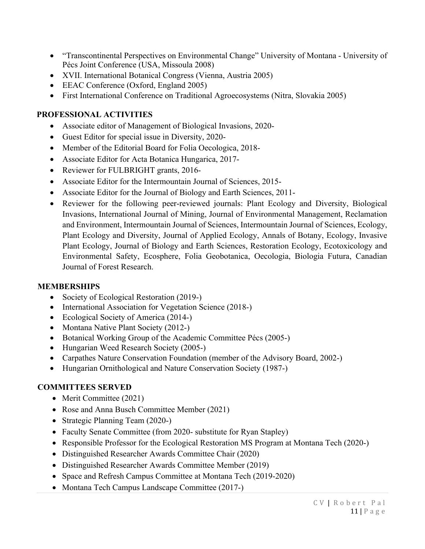- "Transcontinental Perspectives on Environmental Change" University of Montana University of Pécs Joint Conference (USA, Missoula 2008)
- XVII. International Botanical Congress (Vienna, Austria 2005)
- EEAC Conference (Oxford, England 2005)
- First International Conference on Traditional Agroecosystems (Nitra, Slovakia 2005)

## **PROFESSIONAL ACTIVITIES**

- Associate editor of Management of Biological Invasions, 2020-
- Guest Editor for special issue in Diversity, 2020-
- Member of the Editorial Board for Folia Oecologica, 2018-
- Associate Editor for Acta Botanica Hungarica, 2017-
- Reviewer for FULBRIGHT grants, 2016-
- Associate Editor for the Intermountain Journal of Sciences, 2015-
- Associate Editor for the Journal of Biology and Earth Sciences, 2011-
- Reviewer for the following peer-reviewed journals: Plant Ecology and Diversity, Biological Invasions, International Journal of Mining, Journal of Environmental Management, Reclamation and Environment, Intermountain Journal of Sciences, Intermountain Journal of Sciences, Ecology, Plant Ecology and Diversity, Journal of Applied Ecology, Annals of Botany, Ecology, Invasive Plant Ecology, Journal of Biology and Earth Sciences, Restoration Ecology, Ecotoxicology and Environmental Safety, Ecosphere, Folia Geobotanica, Oecologia, Biologia Futura, Canadian Journal of Forest Research.

## **MEMBERSHIPS**

- Society of Ecological Restoration (2019-)
- International Association for Vegetation Science (2018-)
- Ecological Society of America (2014-)
- Montana Native Plant Society (2012-)
- Botanical Working Group of the Academic Committee Pécs (2005-)
- Hungarian Weed Research Society (2005-)
- Carpathes Nature Conservation Foundation (member of the Advisory Board, 2002-)
- Hungarian Ornithological and Nature Conservation Society (1987-)

# **COMMITTEES SERVED**

- Merit Committee (2021)
- Rose and Anna Busch Committee Member (2021)
- Strategic Planning Team (2020-)
- Faculty Senate Committee (from 2020- substitute for Ryan Stapley)
- Responsible Professor for the Ecological Restoration MS Program at Montana Tech (2020-)
- Distinguished Researcher Awards Committee Chair (2020)
- Distinguished Researcher Awards Committee Member (2019)
- Space and Refresh Campus Committee at Montana Tech (2019-2020)
- Montana Tech Campus Landscape Committee (2017-)